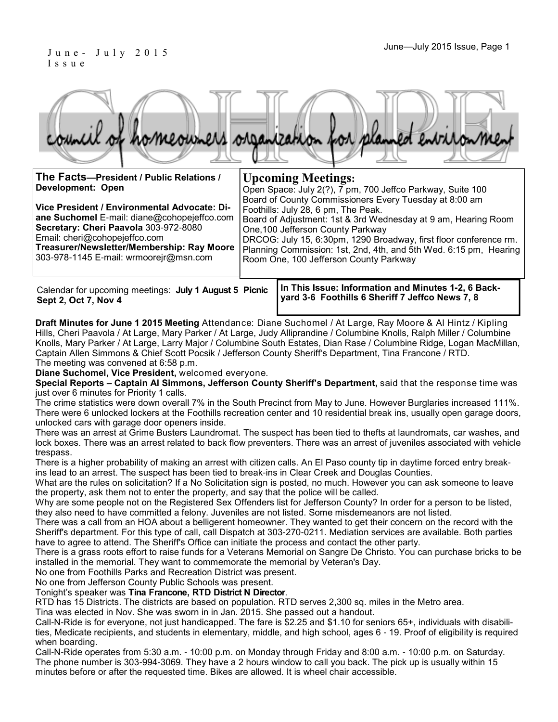### June – July 2015 Issue, Page 1 I s s u e

**Sept 2, Oct 7, Nov 4**

|  |  |  | council of homeowners organization for planned environment |
|--|--|--|------------------------------------------------------------|
|  |  |  |                                                            |

| The Facts-President / Public Relations /<br>Development: Open<br>Vice President / Environmental Advocate: Di-<br>ane Suchomel E-mail: diane@cohopejeffco.com<br>Secretary: Cheri Paavola 303-972-8080<br>Email: cheri@cohopejeffco.com<br>Treasurer/Newsletter/Membership: Ray Moore<br>303-978-1145 E-mail: wrmoorejr@msn.com | <b>Upcoming Meetings:</b><br>Open Space: July 2(?), 7 pm, 700 Jeffco Parkway, Suite 100<br>Board of County Commissioners Every Tuesday at 8:00 am<br>Foothills: July 28, 6 pm, The Peak.<br>Board of Adjustment: 1st & 3rd Wednesday at 9 am, Hearing Room<br>One, 100 Jefferson County Parkway<br>DRCOG: July 15, 6:30pm, 1290 Broadway, first floor conference rm.<br>Planning Commission: 1st, 2nd, 4th, and 5th Wed. 6:15 pm, Hearing<br>Room One, 100 Jefferson County Parkway |  |  |  |  |
|--------------------------------------------------------------------------------------------------------------------------------------------------------------------------------------------------------------------------------------------------------------------------------------------------------------------------------|-------------------------------------------------------------------------------------------------------------------------------------------------------------------------------------------------------------------------------------------------------------------------------------------------------------------------------------------------------------------------------------------------------------------------------------------------------------------------------------|--|--|--|--|
| Calendar for upcoming meetings: July 1 August 5 Picnic<br>Sant 2 $Oct 7$ Nov A                                                                                                                                                                                                                                                 | In This Issue: Information and Minutes 1-2, 6 Back-<br>yard 3-6 Foothills 6 Sheriff 7 Jeffco News 7, 8                                                                                                                                                                                                                                                                                                                                                                              |  |  |  |  |

**Draft Minutes for June 1 2015 Meeting** Attendance: Diane Suchomel / At Large, Ray Moore & Al Hintz / Kipling Hills, Cheri Paavola / At Large, Mary Parker / At Large, Judy Alliprandine / Columbine Knolls, Ralph Miller / Columbine Knolls, Mary Parker / At Large, Larry Major / Columbine South Estates, Dian Rase / Columbine Ridge, Logan MacMillan, Captain Allen Simmons & Chief Scott Pocsik / Jefferson County Sheriff's Department, Tina Francone / RTD. The meeting was convened at 6:58 p.m.

**Diane Suchomel, Vice President,** welcomed everyone.

**Special Reports – Captain Al Simmons, Jefferson County Sheriff's Department,** said that the response time was just over 6 minutes for Priority 1 calls.

The crime statistics were down overall 7% in the South Precinct from May to June. However Burglaries increased 111%. There were 6 unlocked lockers at the Foothills recreation center and 10 residential break ins, usually open garage doors, unlocked cars with garage door openers inside.

There was an arrest at Grime Busters Laundromat. The suspect has been tied to thefts at laundromats, car washes, and lock boxes. There was an arrest related to back flow preventers. There was an arrest of juveniles associated with vehicle trespass.

There is a higher probability of making an arrest with citizen calls. An El Paso county tip in daytime forced entry breakins lead to an arrest. The suspect has been tied to break-ins in Clear Creek and Douglas Counties.

What are the rules on solicitation? If a No Solicitation sign is posted, no much. However you can ask someone to leave the property, ask them not to enter the property, and say that the police will be called.

Why are some people not on the Registered Sex Offenders list for Jefferson County? In order for a person to be listed, they also need to have committed a felony. Juveniles are not listed. Some misdemeanors are not listed.

There was a call from an HOA about a belligerent homeowner. They wanted to get their concern on the record with the Sheriff's department. For this type of call, call Dispatch at 303-270-0211. Mediation services are available. Both parties have to agree to attend. The Sheriff's Office can initiate the process and contact the other party.

There is a grass roots effort to raise funds for a Veterans Memorial on Sangre De Christo. You can purchase bricks to be installed in the memorial. They want to commemorate the memorial by Veteran's Day.

No one from Foothills Parks and Recreation District was present.

No one from Jefferson County Public Schools was present.

Tonight's speaker was **Tina Francone, RTD District N Director**.

RTD has 15 Districts. The districts are based on population. RTD serves 2,300 sq. miles in the Metro area.

Tina was elected in Nov. She was sworn in in Jan. 2015. She passed out a handout.

Call-N-Ride is for everyone, not just handicapped. The fare is \$2.25 and \$1.10 for seniors 65+, individuals with disabilities, Medicate recipients, and students in elementary, middle, and high school, ages 6 - 19. Proof of eligibility is required when boarding.

Call-N-Ride operates from 5:30 a.m. - 10:00 p.m. on Monday through Friday and 8:00 a.m. - 10:00 p.m. on Saturday. The phone number is 303-994-3069. They have a 2 hours window to call you back. The pick up is usually within 15 minutes before or after the requested time. Bikes are allowed. It is wheel chair accessible.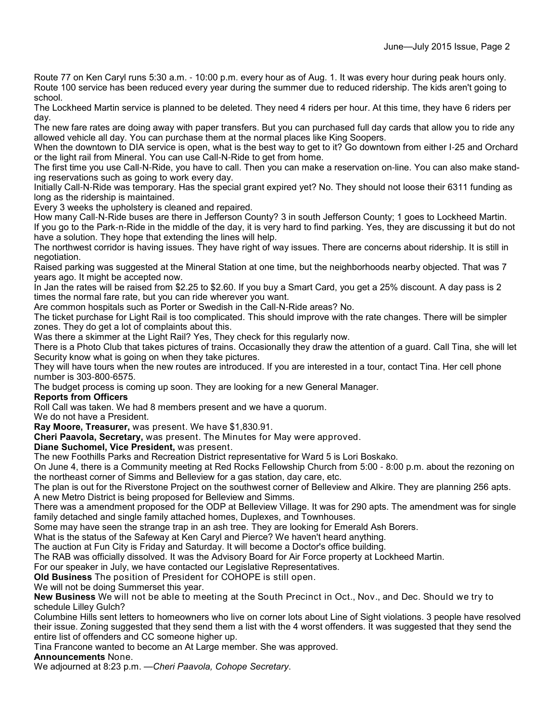Route 77 on Ken Caryl runs 5:30 a.m. - 10:00 p.m. every hour as of Aug. 1. It was every hour during peak hours only. Route 100 service has been reduced every year during the summer due to reduced ridership. The kids aren't going to school.

The Lockheed Martin service is planned to be deleted. They need 4 riders per hour. At this time, they have 6 riders per day.

The new fare rates are doing away with paper transfers. But you can purchased full day cards that allow you to ride any allowed vehicle all day. You can purchase them at the normal places like King Soopers.

When the downtown to DIA service is open, what is the best way to get to it? Go downtown from either I-25 and Orchard or the light rail from Mineral. You can use Call-N-Ride to get from home.

The first time you use Call-N-Ride, you have to call. Then you can make a reservation on-line. You can also make standing reservations such as going to work every day.

Initially Call-N-Ride was temporary. Has the special grant expired yet? No. They should not loose their 6311 funding as long as the ridership is maintained.

Every 3 weeks the upholstery is cleaned and repaired.

How many Call-N-Ride buses are there in Jefferson County? 3 in south Jefferson County; 1 goes to Lockheed Martin. If you go to the Park-n-Ride in the middle of the day, it is very hard to find parking. Yes, they are discussing it but do not have a solution. They hope that extending the lines will help.

The northwest corridor is having issues. They have right of way issues. There are concerns about ridership. It is still in negotiation.

Raised parking was suggested at the Mineral Station at one time, but the neighborhoods nearby objected. That was 7 years ago. It might be accepted now.

In Jan the rates will be raised from \$2.25 to \$2.60. If you buy a Smart Card, you get a 25% discount. A day pass is 2 times the normal fare rate, but you can ride wherever you want.

Are common hospitals such as Porter or Swedish in the Call-N-Ride areas? No.

The ticket purchase for Light Rail is too complicated. This should improve with the rate changes. There will be simpler zones. They do get a lot of complaints about this.

Was there a skimmer at the Light Rail? Yes, They check for this regularly now.

There is a Photo Club that takes pictures of trains. Occasionally they draw the attention of a guard. Call Tina, she will let Security know what is going on when they take pictures.

They will have tours when the new routes are introduced. If you are interested in a tour, contact Tina. Her cell phone number is 303-800-6575.

The budget process is coming up soon. They are looking for a new General Manager.

#### **Reports from Officers**

Roll Call was taken. We had 8 members present and we have a quorum.

We do not have a President.

**Ray Moore, Treasurer,** was present. We have \$1,830.91.

**Cheri Paavola, Secretary,** was present. The Minutes for May were approved.

**Diane Suchomel, Vice President,** was present.

The new Foothills Parks and Recreation District representative for Ward 5 is Lori Boskako.

On June 4, there is a Community meeting at Red Rocks Fellowship Church from 5:00 - 8:00 p.m. about the rezoning on the northeast corner of Simms and Belleview for a gas station, day care, etc.

The plan is out for the Riverstone Project on the southwest corner of Belleview and Alkire. They are planning 256 apts. A new Metro District is being proposed for Belleview and Simms.

There was a amendment proposed for the ODP at Belleview Village. It was for 290 apts. The amendment was for single family detached and single family attached homes, Duplexes, and Townhouses.

Some may have seen the strange trap in an ash tree. They are looking for Emerald Ash Borers.

What is the status of the Safeway at Ken Caryl and Pierce? We haven't heard anything.

The auction at Fun City is Friday and Saturday. It will become a Doctor's office building.

The RAB was officially dissolved. It was the Advisory Board for Air Force property at Lockheed Martin.

For our speaker in July, we have contacted our Legislative Representatives.

**Old Business** The position of President for COHOPE is still open.

We will not be doing Summerset this year.

**New Business** We will not be able to meeting at the South Precinct in Oct., Nov., and Dec. Should we try to schedule Lilley Gulch?

Columbine Hills sent letters to homeowners who live on corner lots about Line of Sight violations. 3 people have resolved their issue. Zoning suggested that they send them a list with the 4 worst offenders. It was suggested that they send the entire list of offenders and CC someone higher up.

Tina Francone wanted to become an At Large member. She was approved.

**Announcements** None.

We adjourned at 8:23 p.m. —*Cheri Paavola, Cohope Secretary*.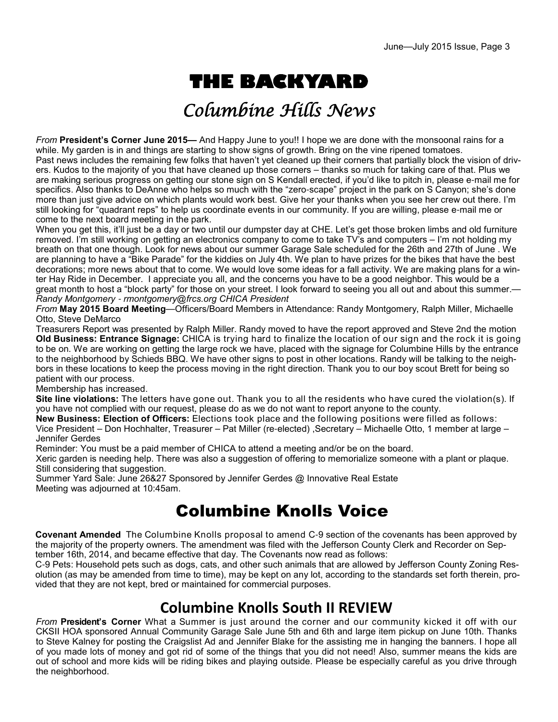# **THE BACKYARD**

## Columbine Hills News

*From* **President's Corner June 2015—** And Happy June to you!! I hope we are done with the monsoonal rains for a while. My garden is in and things are starting to show signs of growth. Bring on the vine ripened tomatoes. Past news includes the remaining few folks that haven't yet cleaned up their corners that partially block the vision of drivers. Kudos to the majority of you that have cleaned up those corners – thanks so much for taking care of that. Plus we are making serious progress on getting our stone sign on S Kendall erected, if you'd like to pitch in, please e-mail me for specifics. Also thanks to DeAnne who helps so much with the "zero-scape" project in the park on S Canyon; she's done more than just give advice on which plants would work best. Give her your thanks when you see her crew out there. I'm still looking for "quadrant reps" to help us coordinate events in our community. If you are willing, please e-mail me or come to the next board meeting in the park.

When you get this, it'll just be a day or two until our dumpster day at CHE. Let's get those broken limbs and old furniture removed. I'm still working on getting an electronics company to come to take TV's and computers – I'm not holding my breath on that one though. Look for news about our summer Garage Sale scheduled for the 26th and 27th of June . We are planning to have a "Bike Parade" for the kiddies on July 4th. We plan to have prizes for the bikes that have the best decorations; more news about that to come. We would love some ideas for a fall activity. We are making plans for a winter Hay Ride in December. I appreciate you all, and the concerns you have to be a good neighbor. This would be a great month to host a "block party" for those on your street. I look forward to seeing you all out and about this summer. *Randy Montgomery* - *rmontgomery@frcs.org CHICA President*

*From* **May 2015 Board Meeting**—Officers/Board Members in Attendance: Randy Montgomery, Ralph Miller, Michaelle Otto, Steve DeMarco

Treasurers Report was presented by Ralph Miller. Randy moved to have the report approved and Steve 2nd the motion **Old Business: Entrance Signage:** CHICA is trying hard to finalize the location of our sign and the rock it is going to be on. We are working on getting the large rock we have, placed with the signage for Columbine Hills by the entrance to the neighborhood by Schieds BBQ. We have other signs to post in other locations. Randy will be talking to the neighbors in these locations to keep the process moving in the right direction. Thank you to our boy scout Brett for being so patient with our process.

Membership has increased.

**Site line violations:** The letters have gone out. Thank you to all the residents who have cured the violation(s). If you have not complied with our request, please do as we do not want to report anyone to the county.

**New Business: Election of Officers:** Elections took place and the following positions were filled as follows: Vice President – Don Hochhalter, Treasurer – Pat Miller (re-elected) ,Secretary – Michaelle Otto, 1 member at large – Jennifer Gerdes

Reminder: You must be a paid member of CHICA to attend a meeting and/or be on the board.

Xeric garden is needing help. There was also a suggestion of offering to memorialize someone with a plant or plaque. Still considering that suggestion.

Summer Yard Sale: June 26&27 Sponsored by Jennifer Gerdes @ Innovative Real Estate Meeting was adjourned at 10:45am.

## Columbine Knolls Voice

**Covenant Amended** The Columbine Knolls proposal to amend C-9 section of the covenants has been approved by the majority of the property owners. The amendment was filed with the Jefferson County Clerk and Recorder on September 16th, 2014, and became effective that day. The Covenants now read as follows:

C-9 Pets: Household pets such as dogs, cats, and other such animals that are allowed by Jefferson County Zoning Resolution (as may be amended from time to time), may be kept on any lot, according to the standards set forth therein, provided that they are not kept, bred or maintained for commercial purposes.

## **Columbine Knolls South II REVIEW**

*From* **President's Corner** What a Summer is just around the corner and our community kicked it off with our CKSII HOA sponsored Annual Community Garage Sale June 5th and 6th and large item pickup on June 10th. Thanks to Steve Kalney for posting the Craigslist Ad and Jennifer Blake for the assisting me in hanging the banners. I hope all of you made lots of money and got rid of some of the things that you did not need! Also, summer means the kids are out of school and more kids will be riding bikes and playing outside. Please be especially careful as you drive through the neighborhood.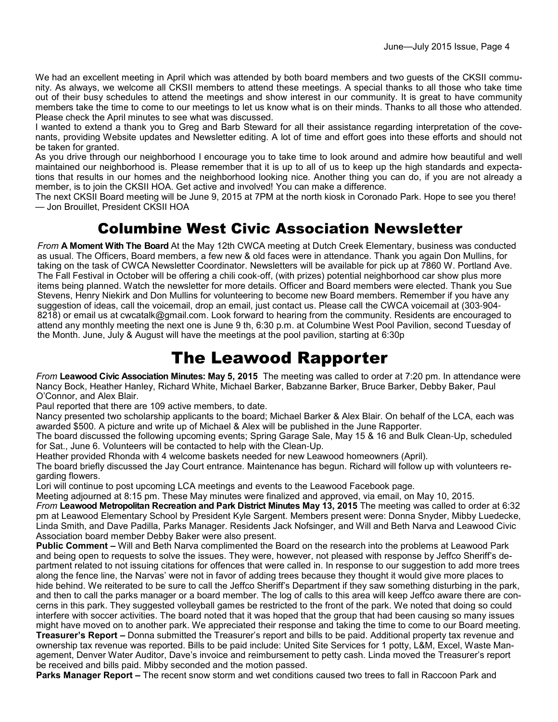We had an excellent meeting in April which was attended by both board members and two guests of the CKSII community. As always, we welcome all CKSII members to attend these meetings. A special thanks to all those who take time out of their busy schedules to attend the meetings and show interest in our community. It is great to have community members take the time to come to our meetings to let us know what is on their minds. Thanks to all those who attended. Please check the April minutes to see what was discussed.

I wanted to extend a thank you to Greg and Barb Steward for all their assistance regarding interpretation of the covenants, providing Website updates and Newsletter editing. A lot of time and effort goes into these efforts and should not be taken for granted.

As you drive through our neighborhood I encourage you to take time to look around and admire how beautiful and well maintained our neighborhood is. Please remember that it is up to all of us to keep up the high standards and expectations that results in our homes and the neighborhood looking nice. Another thing you can do, if you are not already a member, is to join the CKSII HOA. Get active and involved! You can make a difference.

The next CKSII Board meeting will be June 9, 2015 at 7PM at the north kiosk in Coronado Park. Hope to see you there! — Jon Brouillet, President CKSII HOA

## Columbine West Civic Association Newsletter

*From* **A Moment With The Board** At the May 12th CWCA meeting at Dutch Creek Elementary, business was conducted as usual. The Officers, Board members, a few new & old faces were in attendance. Thank you again Don Mullins, for taking on the task of CWCA Newsletter Coordinator. Newsletters will be available for pick up at 7860 W. Portland Ave. The Fall Festival in October will be offering a chili cook-off, (with prizes) potential neighborhood car show plus more items being planned. Watch the newsletter for more details. Officer and Board members were elected. Thank you Sue Stevens, Henry Niekirk and Don Mullins for volunteering to become new Board members. Remember if you have any suggestion of ideas, call the voicemail, drop an email, just contact us. Please call the CWCA voicemail at (303-904- 8218) or email us at cwcatalk@gmail.com. Look forward to hearing from the community. Residents are encouraged to attend any monthly meeting the next one is June 9 th, 6:30 p.m. at Columbine West Pool Pavilion, second Tuesday of the Month. June, July & August will have the meetings at the pool pavilion, starting at 6:30p

## The Leawood Rapporter

*From* **Leawood Civic Association Minutes: May 5, 2015** The meeting was called to order at 7:20 pm. In attendance were Nancy Bock, Heather Hanley, Richard White, Michael Barker, Babzanne Barker, Bruce Barker, Debby Baker, Paul O'Connor, and Alex Blair.

Paul reported that there are 109 active members, to date.

Nancy presented two scholarship applicants to the board; Michael Barker & Alex Blair. On behalf of the LCA, each was awarded \$500. A picture and write up of Michael & Alex will be published in the June Rapporter.

The board discussed the following upcoming events; Spring Garage Sale, May 15 & 16 and Bulk Clean-Up, scheduled for Sat., June 6. Volunteers will be contacted to help with the Clean-Up.

Heather provided Rhonda with 4 welcome baskets needed for new Leawood homeowners (April).

The board briefly discussed the Jay Court entrance. Maintenance has begun. Richard will follow up with volunteers regarding flowers.

Lori will continue to post upcoming LCA meetings and events to the Leawood Facebook page.

Meeting adjourned at 8:15 pm. These May minutes were finalized and approved, via email, on May 10, 2015. *From* **Leawood Metropolitan Recreation and Park District Minutes May 13, 2015** The meeting was called to order at 6:32 pm at Leawood Elementary School by President Kyle Sargent. Members present were: Donna Snyder, Mibby Luedecke, Linda Smith, and Dave Padilla, Parks Manager. Residents Jack Nofsinger, and Will and Beth Narva and Leawood Civic

Association board member Debby Baker were also present.

**Public Comment –** Will and Beth Narva complimented the Board on the research into the problems at Leawood Park and being open to requests to solve the issues. They were, however, not pleased with response by Jeffco Sheriff's department related to not issuing citations for offences that were called in. In response to our suggestion to add more trees along the fence line, the Narvas' were not in favor of adding trees because they thought it would give more places to hide behind. We reiterated to be sure to call the Jeffco Sheriff's Department if they saw something disturbing in the park, and then to call the parks manager or a board member. The log of calls to this area will keep Jeffco aware there are concerns in this park. They suggested volleyball games be restricted to the front of the park. We noted that doing so could interfere with soccer activities. The board noted that it was hoped that the group that had been causing so many issues might have moved on to another park. We appreciated their response and taking the time to come to our Board meeting. **Treasurer's Report –** Donna submitted the Treasurer's report and bills to be paid. Additional property tax revenue and

ownership tax revenue was reported. Bills to be paid include: United Site Services for 1 potty, L&M, Excel, Waste Management, Denver Water Auditor, Dave's invoice and reimbursement to petty cash. Linda moved the Treasurer's report be received and bills paid. Mibby seconded and the motion passed.

**Parks Manager Report –** The recent snow storm and wet conditions caused two trees to fall in Raccoon Park and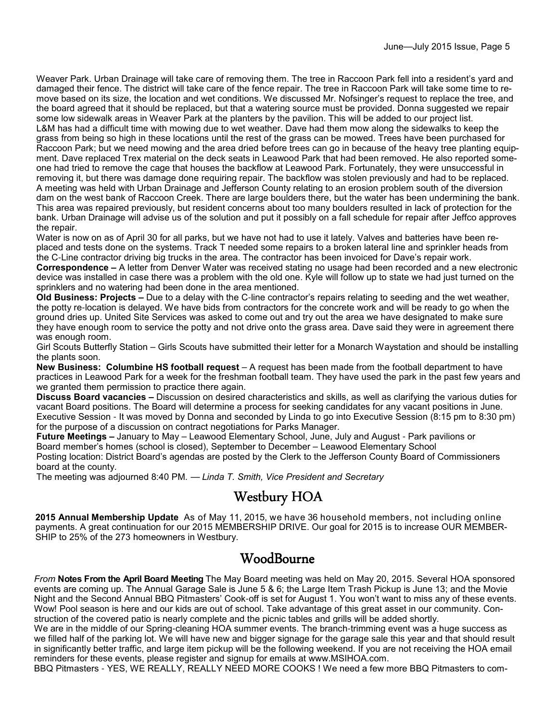Weaver Park. Urban Drainage will take care of removing them. The tree in Raccoon Park fell into a resident's yard and damaged their fence. The district will take care of the fence repair. The tree in Raccoon Park will take some time to remove based on its size, the location and wet conditions. We discussed Mr. Nofsinger's request to replace the tree, and the board agreed that it should be replaced, but that a watering source must be provided. Donna suggested we repair some low sidewalk areas in Weaver Park at the planters by the pavilion. This will be added to our project list. L&M has had a difficult time with mowing due to wet weather. Dave had them mow along the sidewalks to keep the grass from being so high in these locations until the rest of the grass can be mowed. Trees have been purchased for Raccoon Park; but we need mowing and the area dried before trees can go in because of the heavy tree planting equipment. Dave replaced Trex material on the deck seats in Leawood Park that had been removed. He also reported someone had tried to remove the cage that houses the backflow at Leawood Park. Fortunately, they were unsuccessful in removing it, but there was damage done requiring repair. The backflow was stolen previously and had to be replaced. A meeting was held with Urban Drainage and Jefferson County relating to an erosion problem south of the diversion dam on the west bank of Raccoon Creek. There are large boulders there, but the water has been undermining the bank. This area was repaired previously, but resident concerns about too many boulders resulted in lack of protection for the bank. Urban Drainage will advise us of the solution and put it possibly on a fall schedule for repair after Jeffco approves the repair.

Water is now on as of April 30 for all parks, but we have not had to use it lately. Valves and batteries have been replaced and tests done on the systems. Track T needed some repairs to a broken lateral line and sprinkler heads from the C-Line contractor driving big trucks in the area. The contractor has been invoiced for Dave's repair work. **Correspondence –** A letter from Denver Water was received stating no usage had been recorded and a new electronic

device was installed in case there was a problem with the old one. Kyle will follow up to state we had just turned on the sprinklers and no watering had been done in the area mentioned.

**Old Business: Projects –** Due to a delay with the C-line contractor's repairs relating to seeding and the wet weather, the potty re-location is delayed. We have bids from contractors for the concrete work and will be ready to go when the ground dries up. United Site Services was asked to come out and try out the area we have designated to make sure they have enough room to service the potty and not drive onto the grass area. Dave said they were in agreement there was enough room.

Girl Scouts Butterfly Station – Girls Scouts have submitted their letter for a Monarch Waystation and should be installing the plants soon.

**New Business: Columbine HS football request** – A request has been made from the football department to have practices in Leawood Park for a week for the freshman football team. They have used the park in the past few years and we granted them permission to practice there again.

**Discuss Board vacancies –** Discussion on desired characteristics and skills, as well as clarifying the various duties for vacant Board positions. The Board will determine a process for seeking candidates for any vacant positions in June. Executive Session - It was moved by Donna and seconded by Linda to go into Executive Session (8:15 pm to 8:30 pm) for the purpose of a discussion on contract negotiations for Parks Manager.

**Future Meetings –** January to May – Leawood Elementary School, June, July and August - Park pavilions or Board member's homes (school is closed), September to December – Leawood Elementary School Posting location: District Board's agendas are posted by the Clerk to the Jefferson County Board of Commissioners board at the county.

The meeting was adjourned 8:40 PM. — *Linda T. Smith, Vice President and Secretary*

### Westbury HOA

**2015 Annual Membership Update** As of May 11, 2015, we have 36 household members, not including online payments. A great continuation for our 2015 MEMBERSHIP DRIVE. Our goal for 2015 is to increase OUR MEMBER-SHIP to 25% of the 273 homeowners in Westbury.

### **WoodBourne**

*From* **Notes From the April Board Meeting** The May Board meeting was held on May 20, 2015. Several HOA sponsored events are coming up. The Annual Garage Sale is June 5 & 6; the Large Item Trash Pickup is June 13; and the Movie Night and the Second Annual BBQ Pitmasters' Cook-off is set for August 1. You won't want to miss any of these events. Wow! Pool season is here and our kids are out of school. Take advantage of this great asset in our community. Construction of the covered patio is nearly complete and the picnic tables and grills will be added shortly.

We are in the middle of our Spring-cleaning HOA summer events. The branch-trimming event was a huge success as we filled half of the parking lot. We will have new and bigger signage for the garage sale this year and that should result in significantly better traffic, and large item pickup will be the following weekend. If you are not receiving the HOA email reminders for these events, please register and signup for emails at www.MSIHOA.com.

BBQ Pitmasters - YES, WE REALLY, REALLY NEED MORE COOKS ! We need a few more BBQ Pitmasters to com-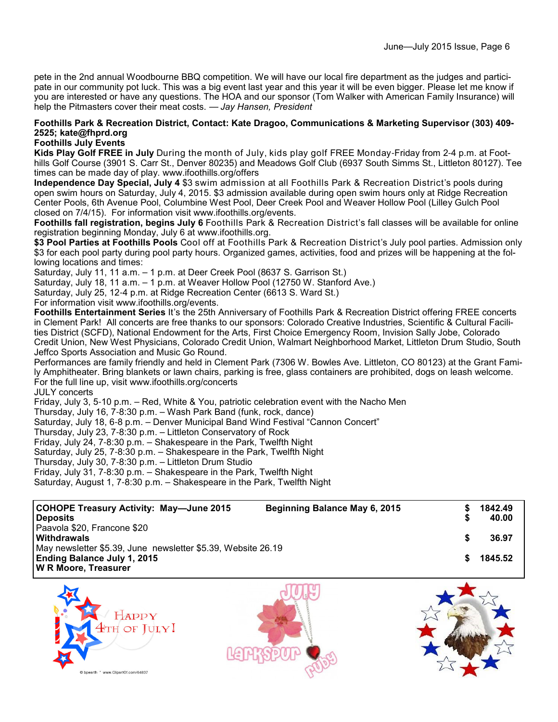pete in the 2nd annual Woodbourne BBQ competition. We will have our local fire department as the judges and participate in our community pot luck. This was a big event last year and this year it will be even bigger. Please let me know if you are interested or have any questions. The HOA and our sponsor (Tom Walker with American Family Insurance) will help the Pitmasters cover their meat costs. — *Jay Hansen, President*

#### **Foothills Park & Recreation District, Contact: Kate Dragoo, Communications & Marketing Supervisor (303) 409- 2525; kate@fhprd.org**

#### **Foothills July Events**

**Kids Play Golf FREE in July** During the month of July, kids play golf FREE Monday-Friday from 2-4 p.m. at Foothills Golf Course (3901 S. Carr St., Denver 80235) and Meadows Golf Club (6937 South Simms St., Littleton 80127). Tee times can be made day of play. www.ifoothills.org/offers

**Independence Day Special, July 4** \$3 swim admission at all Foothills Park & Recreation District's pools during open swim hours on Saturday, July 4, 2015. \$3 admission available during open swim hours only at Ridge Recreation Center Pools, 6th Avenue Pool, Columbine West Pool, Deer Creek Pool and Weaver Hollow Pool (Lilley Gulch Pool closed on 7/4/15). For information visit www.ifoothills.org/events.

**Foothills fall registration, begins July 6** Foothills Park & Recreation District's fall classes will be available for online registration beginning Monday, July 6 at www.ifoothills.org.

**\$3 Pool Parties at Foothills Pools** Cool off at Foothills Park & Recreation District's July pool parties. Admission only \$3 for each pool party during pool party hours. Organized games, activities, food and prizes will be happening at the following locations and times:

Saturday, July 11, 11 a.m. – 1 p.m. at Deer Creek Pool (8637 S. Garrison St.)

Saturday, July 18, 11 a.m. – 1 p.m. at Weaver Hollow Pool (12750 W. Stanford Ave.)

Saturday, July 25, 12-4 p.m. at Ridge Recreation Center (6613 S. Ward St.)

For information visit www.ifoothills.org/events.

**Foothills Entertainment Series** It's the 25th Anniversary of Foothills Park & Recreation District offering FREE concerts in Clement Park! All concerts are free thanks to our sponsors: Colorado Creative Industries, Scientific & Cultural Facilities District (SCFD), National Endowment for the Arts, First Choice Emergency Room, Invision Sally Jobe, Colorado Credit Union, New West Physicians, Colorado Credit Union, Walmart Neighborhood Market, Littleton Drum Studio, South Jeffco Sports Association and Music Go Round.

Performances are family friendly and held in Clement Park (7306 W. Bowles Ave. Littleton, CO 80123) at the Grant Family Amphitheater. Bring blankets or lawn chairs, parking is free, glass containers are prohibited, dogs on leash welcome. For the full line up, visit www.ifoothills.org/concerts

JULY concerts

Friday, July 3, 5-10 p.m. – Red, White & You, patriotic celebration event with the Nacho Men

Thursday, July 16, 7-8:30 p.m. – Wash Park Band (funk, rock, dance)

Saturday, July 18, 6-8 p.m. – Denver Municipal Band Wind Festival "Cannon Concert"

Thursday, July 23, 7-8:30 p.m. – Littleton Conservatory of Rock

Friday, July 24, 7-8:30 p.m. – Shakespeare in the Park, Twelfth Night

Saturday, July 25, 7-8:30 p.m. – Shakespeare in the Park, Twelfth Night

Thursday, July 30, 7-8:30 p.m. – Littleton Drum Studio

Friday, July 31, 7-8:30 p.m. – Shakespeare in the Park, Twelfth Night

Saturday, August 1, 7-8:30 p.m. – Shakespeare in the Park, Twelfth Night

| COHOPE Treasury Activity: May—June 2015<br>l Deposits                                       | Beginning Balance May 6, 2015 |  | 1842.49<br>40.00 |  |
|---------------------------------------------------------------------------------------------|-------------------------------|--|------------------|--|
| Paavola \$20, Francone \$20<br>l Withdrawals                                                |                               |  | 36.97            |  |
| May newsletter \$5.39, June newsletter \$5.39, Website 26.19<br>Ending Balance July 1, 2015 |                               |  |                  |  |
| <b>W R Moore, Treasurer</b>                                                                 |                               |  |                  |  |





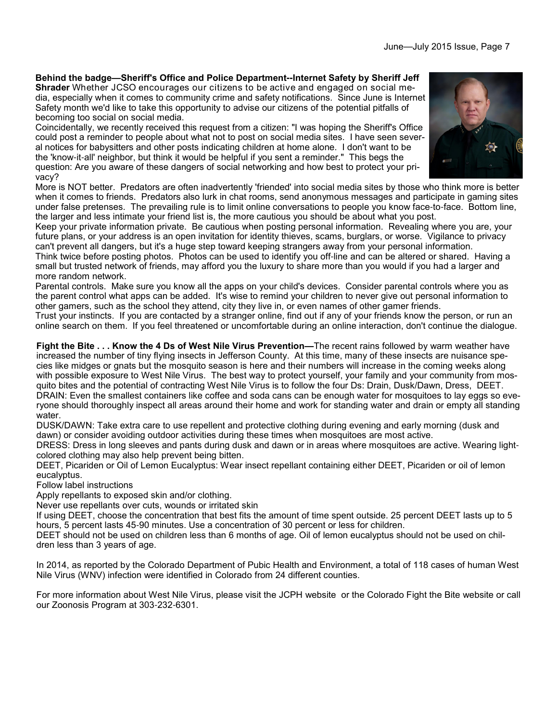### **Behind the badge—Sheriff's Office and Police Department--Internet Safety by Sheriff Jeff**

**Shrader** Whether JCSO encourages our citizens to be active and engaged on social media, especially when it comes to community crime and safety notifications. Since June is Internet Safety month we'd like to take this opportunity to advise our citizens of the potential pitfalls of becoming too social on social media.

Coincidentally, we recently received this request from a citizen: "I was hoping the Sheriff's Office could post a reminder to people about what not to post on social media sites. I have seen several notices for babysitters and other posts indicating children at home alone. I don't want to be the 'know-it-all' neighbor, but think it would be helpful if you sent a reminder." This begs the question: Are you aware of these dangers of social networking and how best to protect your privacy?

More is NOT better. Predators are often inadvertently 'friended' into social media sites by those who think more is better when it comes to friends. Predators also lurk in chat rooms, send anonymous messages and participate in gaming sites under false pretenses. The prevailing rule is to limit online conversations to people you know face-to-face. Bottom line, the larger and less intimate your friend list is, the more cautious you should be about what you post.

Keep your private information private. Be cautious when posting personal information. Revealing where you are, your future plans, or your address is an open invitation for identity thieves, scams, burglars, or worse. Vigilance to privacy can't prevent all dangers, but it's a huge step toward keeping strangers away from your personal information. Think twice before posting photos. Photos can be used to identify you off-line and can be altered or shared. Having a small but trusted network of friends, may afford you the luxury to share more than you would if you had a larger and more random network.

Parental controls. Make sure you know all the apps on your child's devices. Consider parental controls where you as the parent control what apps can be added. It's wise to remind your children to never give out personal information to other gamers, such as the school they attend, city they live in, or even names of other gamer friends.

Trust your instincts. If you are contacted by a stranger online, find out if any of your friends know the person, or run an online search on them. If you feel threatened or uncomfortable during an online interaction, don't continue the dialogue.

**Fight the Bite . . . Know the 4 Ds of West Nile Virus Prevention—**The recent rains followed by warm weather have increased the number of tiny flying insects in Jefferson County. At this time, many of these insects are nuisance species like midges or gnats but the mosquito season is here and their numbers will increase in the coming weeks along with possible exposure to West Nile Virus. The best way to protect yourself, your family and your community from mosquito bites and the potential of contracting West Nile Virus is to follow the four Ds: Drain, Dusk/Dawn, Dress, DEET. DRAIN: Even the smallest containers like coffee and soda cans can be enough water for mosquitoes to lay eggs so everyone should thoroughly inspect all areas around their home and work for standing water and drain or empty all standing water.

DUSK/DAWN: Take extra care to use repellent and protective clothing during evening and early morning (dusk and dawn) or consider avoiding outdoor activities during these times when mosquitoes are most active.

DRESS: Dress in long sleeves and pants during dusk and dawn or in areas where mosquitoes are active. Wearing lightcolored clothing may also help prevent being bitten.

DEET, Picariden or Oil of Lemon Eucalyptus: Wear insect repellant containing either DEET, Picariden or oil of lemon eucalyptus.

Follow label instructions

Apply repellants to exposed skin and/or clothing.

Never use repellants over cuts, wounds or irritated skin

If using DEET, choose the concentration that best fits the amount of time spent outside. 25 percent DEET lasts up to 5 hours, 5 percent lasts 45-90 minutes. Use a concentration of 30 percent or less for children.

DEET should not be used on children less than 6 months of age. Oil of lemon eucalyptus should not be used on children less than 3 years of age.

In 2014, as reported by the Colorado Department of Pubic Health and Environment, a total of 118 cases of human West Nile Virus (WNV) infection were identified in Colorado from 24 different counties.

For more information about West Nile Virus, please visit the JCPH website or the Colorado Fight the Bite website or call our Zoonosis Program at 303-232-6301.

![](_page_6_Picture_19.jpeg)